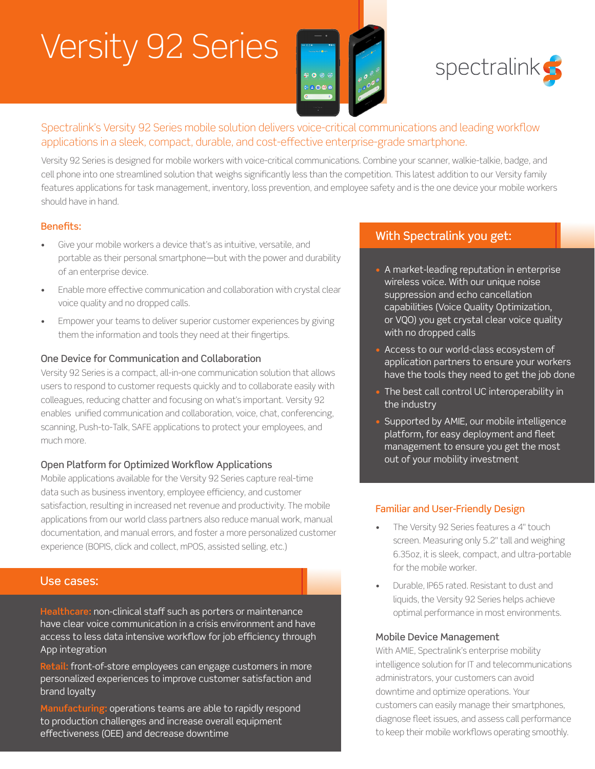# Versity 92 Series

B





#### Spectralink's Versity 92 Series mobile solution delivers voice-critical communications and leading workflow applications in a sleek, compact, durable, and cost-effective enterprise-grade smartphone. Boulder, CO 80301

Versity 92 Series is designed for mobile workers with voice-critical communications. Combine your scanner, walkie-talkie, badge, and cell phone into one streamlined solution that weighs significantly less than the competition. This latest addition to our Versity family features applications for task management, inventory, loss prevention, and employee safety and is the one device your mobile workers should have in hand. 25 SIZE **B** DWG. NO. REV

#### Benefits:

- Give your mobile workers a device that's as intuitive, versatile, and portable as their personal smartphone—but with the power and durability of an enterprise device.
- Enable more effective communication and collaboration with crystal clear voice quality and no dropped calls.
- Empower your teams to deliver superior customer experiences by giving them the information and tools they need at their fingertips.

#### One Device for Communication and Collaboration

Versity 92 Series is a compact, all-in-one communication solution that allows users to respond to customer requests quickly and to collaborate easily with colleagues, reducing chatter and focusing on what's important. Versity 92 enables unified communication and collaboration, voice, chat, conferencing, scanning, Push-to-Talk, SAFE applications to protect your employees, and much more.

#### Open Platform for Optimized Workflow Applications

Mobile applications available for the Versity 92 Series capture real-time data such as business inventory, employee efficiency, and customer satisfaction, resulting in increased net revenue and productivity. The mobile applications from our world class partners also reduce manual work, manual documentation, and manual errors, and foster a more personalized customer experience (BOPIS, click and collect, mPOS, assisted selling, etc.)

#### Use cases:

**Healthcare:** non-clinical staff such as porters or maintenance have clear voice communication in a crisis environment and have access to less data intensive workflow for job efficiency through App integration

**Retail:** front-of-store employees can engage customers in more personalized experiences to improve customer satisfaction and brand loyalty

**Manufacturing:** operations teams are able to rapidly respond to production challenges and increase overall equipment effectiveness (OEE) and decrease downtime

### With Spectralink you get:

- A market-leading reputation in enterprise wireless voice. With our unique noise suppression and echo cancellation capabilities (Voice Quality Optimization, or VQO) you get crystal clear voice quality with no dropped calls
- Access to our world-class ecosystem of application partners to ensure your workers have the tools they need to get the job done
- The best call control UC interoperability in the industry
- Supported by AMIE, our mobile intelligence platform, for easy deployment and fleet management to ensure you get the most out of your mobility investment

#### Familiar and User-Friendly Design

- The Versity 92 Series features a 4" touch screen. Measuring only 5.2" tall and weighing 6.35oz, it is sleek, compact, and ultra-portable for the mobile worker.
- Durable, IP65 rated. Resistant to dust and liquids, the Versity 92 Series helps achieve optimal performance in most environments.

#### Mobile Device Management

With AMIE, Spectralink's enterprise mobility intelligence solution for IT and telecommunications administrators, your customers can avoid downtime and optimize operations. Your customers can easily manage their smartphones, diagnose fleet issues, and assess call performance to keep their mobile workflows operating smoothly.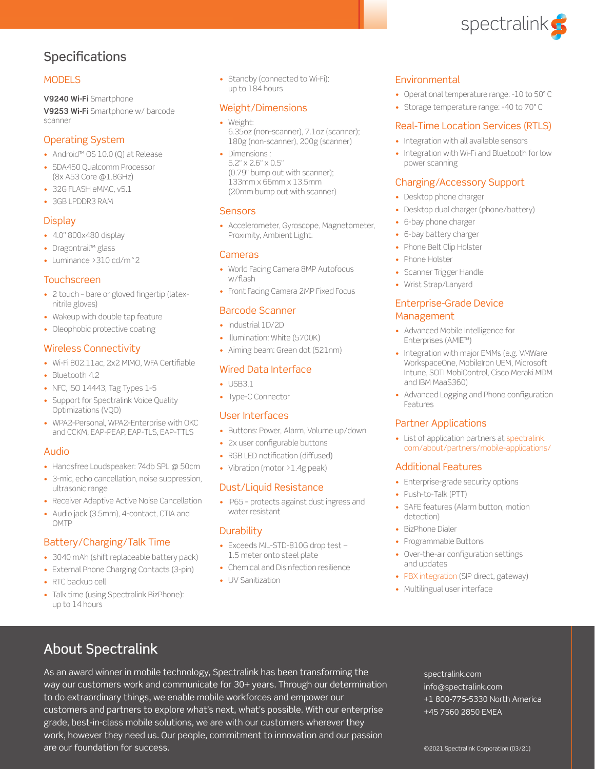

## Specifications

#### **MODELS**

**V9240 Wi-Fi** Smartphone **V9253 Wi-Fi** Smartphone w/ barcode scanner

#### Operating System

- Android™ OS 10.0 (Q) at Release
- SDA450 Qualcomm Processor (8x A53 Core @1.8GHz)
- 32G FLASH eMMC, v5.1
- 3GB LPDDR3 RAM

#### **Display**

- 4.0" 800x480 display
- Dragontrail™ glass
- Luminance >310 cd/m^2

#### Touchscreen

- 2 touch bare or gloved fingertip (latexnitrile gloves)
- Wakeup with double tap feature
- Oleophobic protective coating

#### Wireless Connectivity

- Wi-Fi 802.11ac, 2x2 MIMO, WFA Certifiable
- Bluetooth 4.2
- NFC, ISO 14443, Tag Types 1-5
- Support for Spectralink Voice Quality Optimizations (VQO)
- WPA2-Personal, WPA2-Enterprise with OKC and CCKM, EAP-PEAP, EAP-TLS, EAP-TTLS

#### Audio

- Handsfree Loudspeaker: 74db SPL @ 50cm
- 3-mic, echo cancellation, noise suppression, ultrasonic range
- Receiver Adaptive Active Noise Cancellation
- Audio jack (3.5mm), 4-contact, CTIA and **OMTP**

#### Battery/Charging/Talk Time

- 3040 mAh (shift replaceable battery pack)
- External Phone Charging Contacts (3-pin)
- RTC backup cell
- Talk time (using Spectralink BizPhone): up to 14 hours

• Standby (connected to Wi-Fi): up to 184 hours

#### Weight/Dimensions

- Weight: 6.35oz (non-scanner), 7.1oz (scanner); 180g (non-scanner), 200g (scanner)
- Dimensions : 5.2" x 2.6" x 0.5" (0.79" bump out with scanner); 133mm x 66mm x 13.5mm (20mm bump out with scanner)

#### **Sensors**

• Accelerometer, Gyroscope, Magnetometer, Proximity, Ambient Light.

#### Cameras

- World Facing Camera 8MP Autofocus w/flash
- Front Facing Camera 2MP Fixed Focus

#### Barcode Scanner

- Industrial 1D/2D
- Illumination: White (5700K)
- Aiming beam: Green dot (521nm)

#### Wired Data Interface

- USB3.1
- Type-C Connector

#### User Interfaces

- Buttons: Power, Alarm, Volume up/down
- 2x user configurable buttons
- RGB LED notification (diffused)
- Vibration (motor > 1.4g peak)

#### Dust/Liquid Resistance

• IP65 – protects against dust ingress and water resistant

#### **Durability**

- Exceeds MIL-STD-810G drop test − 1.5 meter onto steel plate
- Chemical and Disinfection resilience
- UV Sanitization

#### **Environmental**

- Operational temperature range: -10 to 50° C
- Storage temperature range: -40 to 70° C

#### Real-Time Location Services (RTLS)

- Integration with all available sensors
- Integration with Wi-Fi and Bluetooth for low power scanning

#### Charging/Accessory Support

- Desktop phone charger
- Desktop dual charger (phone/battery)
- 6-bay phone charger
- 6-bay battery charger
- Phone Belt Clip Holster
- Phone Holster
- Scanner Trigger Handle
- Wrist Strap/Lanyard

#### Enterprise-Grade Device Management

- Advanced Mobile Intelligence for Enterprises (AMIE™)
- Integration with major EMMs (e.g. VMWare WorkspaceOne, MobileIron UEM, Microsoft Intune, SOTI MobiControl, Cisco Meraki MDM and IBM MaaS360)
- Advanced Logging and Phone configuration Features

#### Partner Applications

• List of application partners at [spectralink.](https://spectralink.com/about/partners/mobile-applications/) [com/about/partners/mobile-applications/](https://spectralink.com/about/partners/mobile-applications/)

#### Additional Features

- Enterprise-grade security options
- Push-to-Talk (PTT)
- SAFE features (Alarm button, motion detection)
- BizPhone Dialer
- Programmable Buttons
- Over-the-air configuration settings and updates
- [PBX integration](https://www.spectralink.com/about/partners/call-server-integrators/) (SIP direct, gateway)
- Multilingual user interface

## About Spectralink

As an award winner in mobile technology, Spectralink has been transforming the way our customers work and communicate for 30+ years. Through our determination to do extraordinary things, we enable mobile workforces and empower our customers and partners to explore what's next, what's possible. With our enterprise grade, best-in-class mobile solutions, we are with our customers wherever they work, however they need us. Our people, commitment to innovation and our passion are our foundation for success. ©2021 Spectralink Corporation (03/21)

spectralink.com info@spectralink.com +1 800-775-5330 North America +45 7560 2850 EMEA